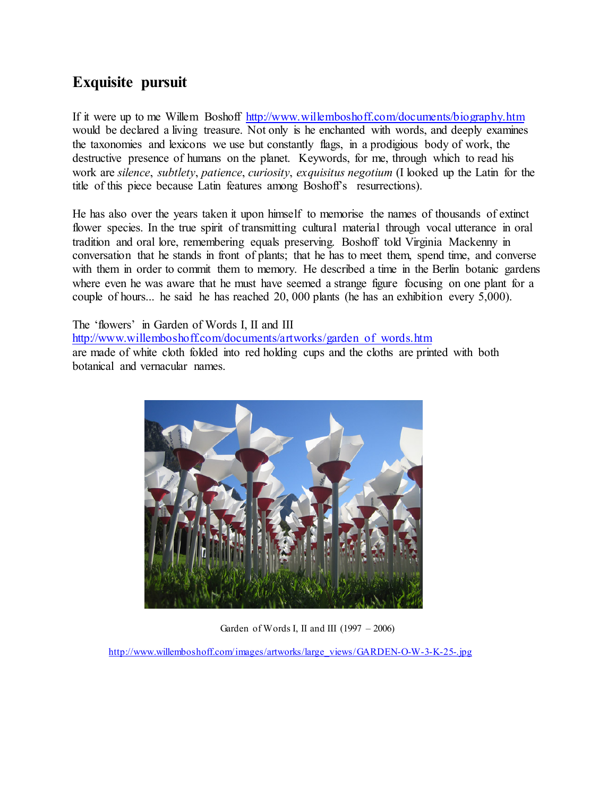## **Exquisite pursuit**

If it were up to me Willem Boshoff <http://www.willemboshoff.com/documents/biography.htm> would be declared a living treasure. Not only is he enchanted with words, and deeply examines the taxonomies and lexicons we use but constantly flags, in a prodigious body of work, the destructive presence of humans on the planet. Keywords, for me, through which to read his work are *silence*, *subtlety*, *patience*, *curiosity*, *exquisitus negotium* (I looked up the Latin for the title of this piece because Latin features among Boshoff's resurrections).

He has also over the years taken it upon himself to memorise the names of thousands of extinct flower species. In the true spirit of transmitting cultural material through vocal utterance in oral tradition and oral lore, remembering equals preserving. Boshoff told Virginia Mackenny in conversation that he stands in front of plants; that he has to meet them, spend time, and converse with them in order to commit them to memory. He described a time in the Berlin botanic gardens where even he was aware that he must have seemed a strange figure focusing on one plant for a couple of hours... he said he has reached 20, 000 plants (he has an exhibition every 5,000).

The 'flowers' in Garden of Words I, II and III [http://www.willemboshoff.com/documents/artworks/garden\\_of\\_words.htm](http://www.willemboshoff.com/documents/artworks/garden_of_words.htm) are made of white cloth folded into red holding cups and the cloths are printed with both botanical and vernacular names.



Garden of Words I, II and III  $(1997 - 2006)$ 

[http://www.willemboshoff.com/images/artworks/large\\_views/GARDEN-O-W-3-K-25-.jpg](http://www.willemboshoff.com/images/artworks/large_views/GARDEN-O-W-3-K-25-.jpg)